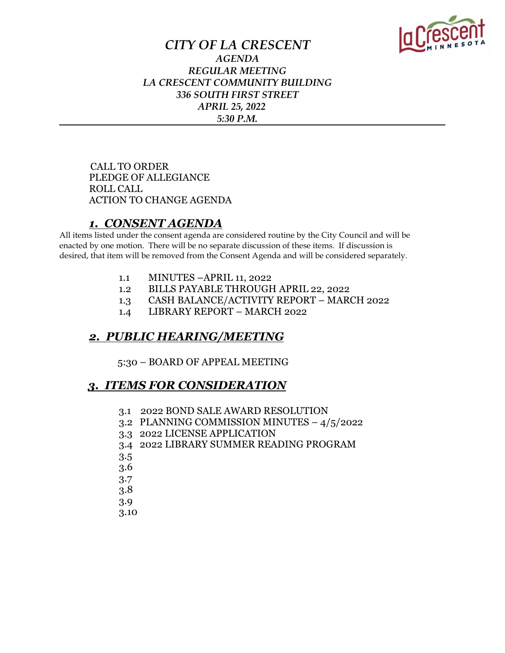

### *CITY OF LA CRESCENT AGENDA REGULAR MEETING LA CRESCENT COMMUNITY BUILDING 336 SOUTH FIRST STREET APRIL 25, 2022 5:30 P.M.*

 CALL TO ORDER PLEDGE OF ALLEGIANCE ROLL CALL ACTION TO CHANGE AGENDA

### *1. CONSENT AGENDA*

All items listed under the consent agenda are considered routine by the City Council and will be enacted by one motion. There will be no separate discussion of these items. If discussion is desired, that item will be removed from the Consent Agenda and will be considered separately.

- 1.1 MINUTES –APRIL 11, 2022
- 1.2 BILLS PAYABLE THROUGH APRIL 22, 2022
- 1.3 CASH BALANCE/ACTIVITY REPORT MARCH 2022
- 1.4 LIBRARY REPORT MARCH 2022

## *2. PUBLIC HEARING/MEETING*

5:30 – BOARD OF APPEAL MEETING

### *3. ITEMS FOR CONSIDERATION*

- 3.1 2022 BOND SALE AWARD RESOLUTION
- 3.2 PLANNING COMMISSION MINUTES 4/5/2022
- 3.3 2022 LICENSE APPLICATION
- 3.4 2022 LIBRARY SUMMER READING PROGRAM
- 3.5
- 3.6
- 3.7
- 3.8
- 3.9
- 3.10